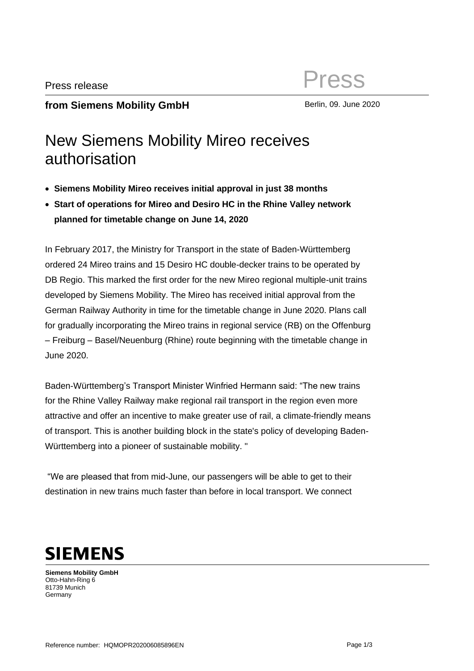## **from Siemens Mobility GmbH** Berlin, 09. June 2020

## New Siemens Mobility Mireo receives authorisation

- **Siemens Mobility Mireo receives initial approval in just 38 months**
- **Start of operations for Mireo and Desiro HC in the Rhine Valley network planned for timetable change on June 14, 2020**

In February 2017, the Ministry for Transport in the state of Baden-Württemberg ordered 24 Mireo trains and 15 Desiro HC double-decker trains to be operated by DB Regio. This marked the first order for the new Mireo regional multiple-unit trains developed by Siemens Mobility. The Mireo has received initial approval from the German Railway Authority in time for the timetable change in June 2020. Plans call for gradually incorporating the Mireo trains in regional service (RB) on the Offenburg – Freiburg – Basel/Neuenburg (Rhine) route beginning with the timetable change in June 2020.

Baden-Württemberg's Transport Minister Winfried Hermann said: "The new trains for the Rhine Valley Railway make regional rail transport in the region even more attractive and offer an incentive to make greater use of rail, a climate-friendly means of transport. This is another building block in the state's policy of developing Baden-Württemberg into a pioneer of sustainable mobility. "

"We are pleased that from mid-June, our passengers will be able to get to their destination in new trains much faster than before in local transport. We connect



**Siemens Mobility GmbH** Otto-Hahn-Ring 6 81739 Munich Germany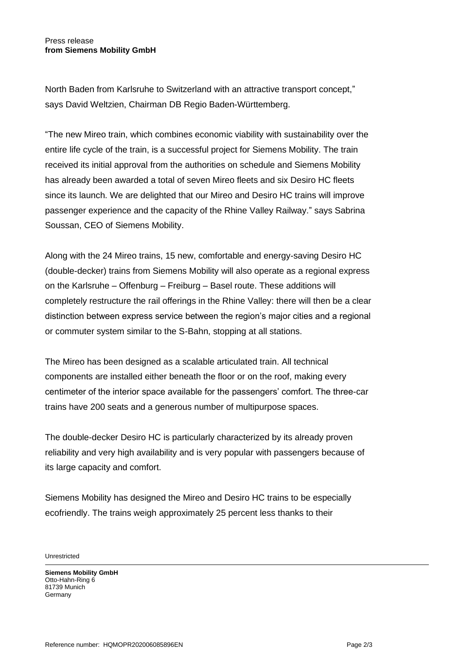## Press release **from Siemens Mobility GmbH**

North Baden from Karlsruhe to Switzerland with an attractive transport concept," says David Weltzien, Chairman DB Regio Baden-Württemberg.

"The new Mireo train, which combines economic viability with sustainability over the entire life cycle of the train, is a successful project for Siemens Mobility. The train received its initial approval from the authorities on schedule and Siemens Mobility has already been awarded a total of seven Mireo fleets and six Desiro HC fleets since its launch. We are delighted that our Mireo and Desiro HC trains will improve passenger experience and the capacity of the Rhine Valley Railway." says Sabrina Soussan, CEO of Siemens Mobility.

Along with the 24 Mireo trains, 15 new, comfortable and energy-saving Desiro HC (double-decker) trains from Siemens Mobility will also operate as a regional express on the Karlsruhe – Offenburg – Freiburg – Basel route. These additions will completely restructure the rail offerings in the Rhine Valley: there will then be a clear distinction between express service between the region's major cities and a regional or commuter system similar to the S-Bahn, stopping at all stations.

The Mireo has been designed as a scalable articulated train. All technical components are installed either beneath the floor or on the roof, making every centimeter of the interior space available for the passengers' comfort. The three-car trains have 200 seats and a generous number of multipurpose spaces.

The double-decker Desiro HC is particularly characterized by its already proven reliability and very high availability and is very popular with passengers because of its large capacity and comfort.

Siemens Mobility has designed the Mireo and Desiro HC trains to be especially ecofriendly. The trains weigh approximately 25 percent less thanks to their

**Unrestricted** 

**Siemens Mobility GmbH** Otto-Hahn-Ring 6 81739 Munich **Germany**